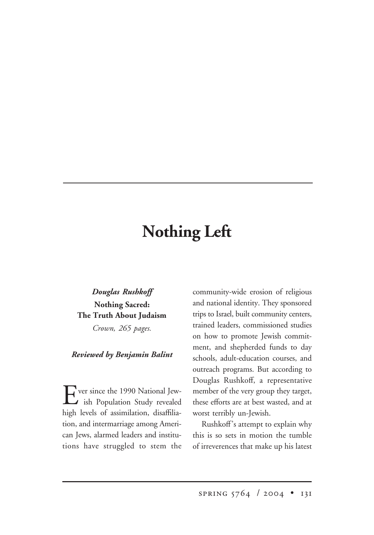## **Nothing Left**

## *Douglas Rushkoff* **Nothing Sacred: The Truth About Judaism** *Crown, 265 pages.*

## *Reviewed by Benjamin Balint*

Ever since the 1990 National Jew-<br>ish Population Study revealed high levels of assimilation, disaffiliation, and intermarriage among American Jews, alarmed leaders and institutions have struggled to stem the community-wide erosion of religious and national identity. They sponsored trips to Israel, built community centers, trained leaders, commissioned studies on how to promote Jewish commitment, and shepherded funds to day schools, adult-education courses, and outreach programs. But according to Douglas Rushkoff, a representative member of the very group they target, these efforts are at best wasted, and at worst terribly un-Jewish.

Rushkoff's attempt to explain why this is so sets in motion the tumble of irreverences that make up his latest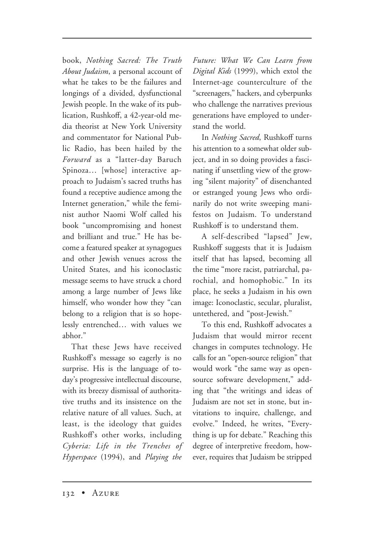book, *Nothing Sacred: The Truth About Judaism*, a personal account of what he takes to be the failures and longings of a divided, dysfunctional Jewish people. In the wake of its publication, Rushkoff, a 42-year-old media theorist at New York University and commentator for National Public Radio, has been hailed by the *Forward* as a "latter-day Baruch Spinoza… [whose] interactive approach to Judaism's sacred truths has found a receptive audience among the Internet generation," while the feminist author Naomi Wolf called his book "uncompromising and honest and brilliant and true." He has become a featured speaker at synagogues and other Jewish venues across the United States, and his iconoclastic message seems to have struck a chord among a large number of Jews like himself, who wonder how they "can belong to a religion that is so hopelessly entrenched… with values we abhor."

That these Jews have received Rushkoff's message so eagerly is no surprise. His is the language of today's progressive intellectual discourse, with its breezy dismissal of authoritative truths and its insistence on the relative nature of all values. Such, at least, is the ideology that guides Rushkoff's other works, including *Cyberia: Life in the Trenches of Hyperspace* (1994), and *Playing the*

*Future: What We Can Learn from Digital Kids* (1999), which extol the Internet-age counterculture of the "screenagers," hackers, and cyberpunks who challenge the narratives previous generations have employed to understand the world.

In *Nothing Sacred*, Rushkoff turns his attention to a somewhat older subject, and in so doing provides a fascinating if unsettling view of the growing "silent majority" of disenchanted or estranged young Jews who ordinarily do not write sweeping manifestos on Judaism. To understand Rushkoff is to understand them.

A self-described "lapsed" Jew, Rushkoff suggests that it is Judaism itself that has lapsed, becoming all the time "more racist, patriarchal, parochial, and homophobic." In its place, he seeks a Judaism in his own image: Iconoclastic, secular, pluralist, untethered, and "post-Jewish."

To this end, Rushkoff advocates a Judaism that would mirror recent changes in computes technology. He calls for an "open-source religion" that would work "the same way as opensource software development," adding that "the writings and ideas of Judaism are not set in stone, but invitations to inquire, challenge, and evolve." Indeed, he writes, "Everything is up for debate." Reaching this degree of interpretive freedom, however, requires that Judaism be stripped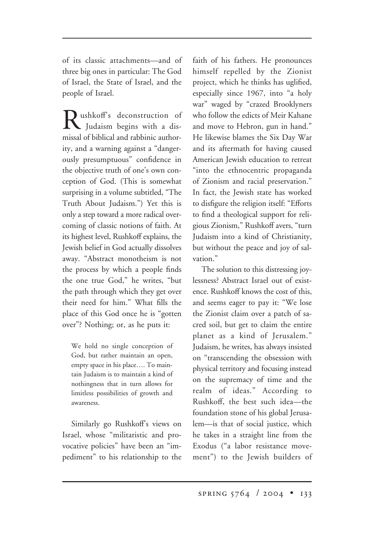of its classic attachments—and of three big ones in particular: The God of Israel, the State of Israel, and the people of Israel.

ushkoff's deconstruction of Judaism begins with a dismissal of biblical and rabbinic authority, and a warning against a "dangerously presumptuous" confidence in the objective truth of one's own conception of God. (This is somewhat surprising in a volume subtitled, "The Truth About Judaism.") Yet this is only a step toward a more radical overcoming of classic notions of faith. At its highest level, Rushkoff explains, the Jewish belief in God actually dissolves away. "Abstract monotheism is not the process by which a people finds the one true God," he writes, "but the path through which they get over their need for him." What fills the place of this God once he is "gotten over"? Nothing; or, as he puts it:

We hold no single conception of God, but rather maintain an open, empty space in his place…. To maintain Judaism is to maintain a kind of nothingness that in turn allows for limitless possibilities of growth and awareness.

Similarly go Rushkoff's views on Israel, whose "militaristic and provocative policies" have been an "impediment" to his relationship to the

faith of his fathers. He pronounces himself repelled by the Zionist project, which he thinks has uglified, especially since 1967, into "a holy war" waged by "crazed Brooklyners who follow the edicts of Meir Kahane and move to Hebron, gun in hand." He likewise blames the Six Day War and its aftermath for having caused American Jewish education to retreat "into the ethnocentric propaganda of Zionism and racial preservation." In fact, the Jewish state has worked to disfigure the religion itself: "Efforts to find a theological support for religious Zionism," Rushkoff avers, "turn Judaism into a kind of Christianity, but without the peace and joy of salvation."

The solution to this distressing joylessness? Abstract Israel out of existence. Rushkoff knows the cost of this, and seems eager to pay it: "We lose the Zionist claim over a patch of sacred soil, but get to claim the entire planet as a kind of Jerusalem." Judaism, he writes, has always insisted on "transcending the obsession with physical territory and focusing instead on the supremacy of time and the realm of ideas." According to Rushkoff, the best such idea—the foundation stone of his global Jerusalem—is that of social justice, which he takes in a straight line from the Exodus ("a labor resistance movement") to the Jewish builders of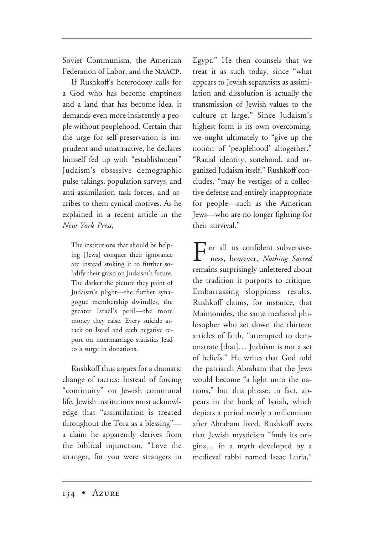Soviet Communism, the American Federation of Labor, and the NAACP.

If Rushkoff's heterodoxy calls for a God who has become emptiness and a land that has become idea, it demands even more insistently a people without peoplehood. Certain that the urge for self-preservation is imprudent and unattractive, he declares himself fed up with "establishment" Judaism's obsessive demographic pulse-takings, population surveys, and anti-assimilation task forces, and ascribes to them cynical motives. As he explained in a recent article in the *New York Press*,

The institutions that should be helping [Jews] conquer their ignorance are instead stoking it to further solidify their grasp on Judaism's future. The darker the picture they paint of Judaism's plight—the further synagogue membership dwindles, the greater Israel's peril—the more money they raise. Every suicide attack on Israel and each negative report on intermarriage statistics lead to a surge in donations.

Rushkoff thus argues for a dramatic change of tactics: Instead of forcing "continuity" on Jewish communal life, Jewish institutions must acknowledge that "assimilation is treated throughout the Tora as a blessing" a claim he apparently derives from the biblical injunction, "Love the stranger, for you were strangers in

Egypt." He then counsels that we treat it as such today, since "what appears to Jewish separatists as assimilation and dissolution is actually the transmission of Jewish values to the culture at large." Since Judaism's highest form is its own overcoming, we ought ultimately to "give up the notion of 'peoplehood' altogether." "Racial identity, statehood, and organized Judaism itself," Rushkoff concludes, "may be vestiges of a collective defense and entirely inappropriate for people—such as the American Jews—who are no longer fighting for their survival."

For all its confident subversive-ness, however, *Nothing Sacred* remains surprisingly unlettered about the tradition it purports to critique. Embarrassing sloppiness results. Rushkoff claims, for instance, that Maimonides, the same medieval philosopher who set down the thirteen articles of faith, "attempted to demonstrate [that]… Judaism is not a set of beliefs." He writes that God told the patriarch Abraham that the Jews would become "a light unto the nations," but this phrase, in fact, appears in the book of Isaiah, which depicts a period nearly a millennium after Abraham lived. Rushkoff avers that Jewish mysticism "finds its origins… in a myth developed by a medieval rabbi named Isaac Luria,"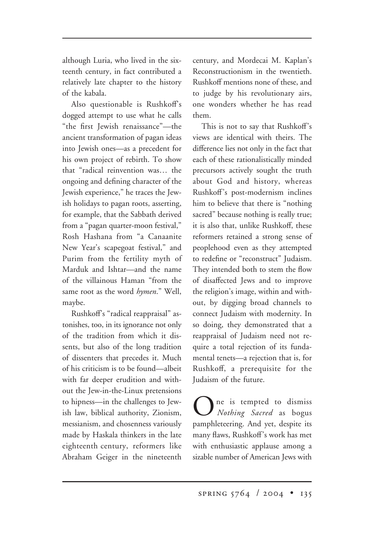although Luria, who lived in the sixteenth century, in fact contributed a relatively late chapter to the history of the kabala.

Also questionable is Rushkoff's dogged attempt to use what he calls "the first Jewish renaissance"—the ancient transformation of pagan ideas into Jewish ones—as a precedent for his own project of rebirth. To show that "radical reinvention was… the ongoing and defining character of the Jewish experience," he traces the Jewish holidays to pagan roots, asserting, for example, that the Sabbath derived from a "pagan quarter-moon festival," Rosh Hashana from "a Canaanite New Year's scapegoat festival," and Purim from the fertility myth of Marduk and Ishtar—and the name of the villainous Haman "from the same root as the word *hymen*." Well, maybe.

Rushkoff's "radical reappraisal" astonishes, too, in its ignorance not only of the tradition from which it dissents, but also of the long tradition of dissenters that precedes it. Much of his criticism is to be found—albeit with far deeper erudition and without the Jew-in-the-Linux pretensions to hipness—in the challenges to Jewish law, biblical authority, Zionism, messianism, and chosenness variously made by Haskala thinkers in the late eighteenth century, reformers like Abraham Geiger in the nineteenth

century, and Mordecai M. Kaplan's Reconstructionism in the twentieth. Rushkoff mentions none of these, and to judge by his revolutionary airs, one wonders whether he has read them.

This is not to say that Rushkoff's views are identical with theirs. The difference lies not only in the fact that each of these rationalistically minded precursors actively sought the truth about God and history, whereas Rushkoff's post-modernism inclines him to believe that there is "nothing sacred" because nothing is really true; it is also that, unlike Rushkoff, these reformers retained a strong sense of peoplehood even as they attempted to redefine or "reconstruct" Judaism. They intended both to stem the flow of disaffected Jews and to improve the religion's image, within and without, by digging broad channels to connect Judaism with modernity. In so doing, they demonstrated that a reappraisal of Judaism need not require a total rejection of its fundamental tenets—a rejection that is, for Rushkoff, a prerequisite for the Judaism of the future.

One is tempted to dismiss *Nothing Sacred* as bogus pamphleteering. And yet, despite its many flaws, Rushkoff's work has met with enthusiastic applause among a sizable number of American Jews with